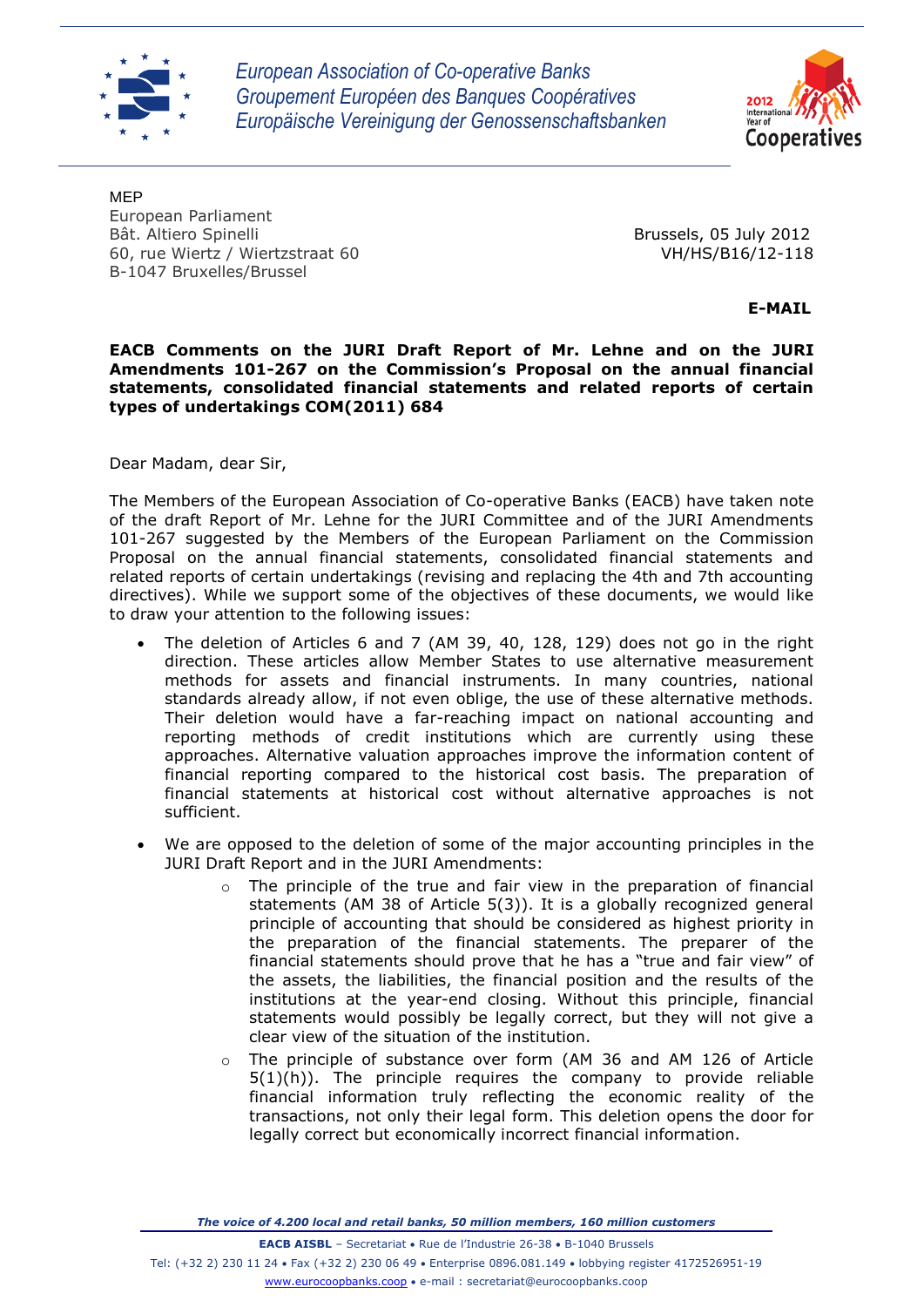

*European Association of Co-operative Banks Groupement Européen des Banques Coopératives Europäische Vereinigung der Genossenschaftsbanken*



MEP European Parliament Bât. Altiero Spinelli Brussels, 05 July 2012 60, rue Wiertz / Wiertzstraat 60 VH/HS/B16/12-118 B-1047 Bruxelles/Brussel

 **E-MAIL**

**EACB Comments on the JURI Draft Report of Mr. Lehne and on the JURI Amendments 101-267 on the Commission's Proposal on the annual financial statements, consolidated financial statements and related reports of certain types of undertakings COM(2011) 684**

Dear Madam, dear Sir,

The Members of the European Association of Co-operative Banks (EACB) have taken note of the draft Report of Mr. Lehne for the JURI Committee and of the JURI Amendments 101-267 suggested by the Members of the European Parliament on the Commission Proposal on the annual financial statements, consolidated financial statements and related reports of certain undertakings (revising and replacing the 4th and 7th accounting directives). While we support some of the objectives of these documents, we would like to draw your attention to the following issues:

- The deletion of Articles 6 and 7 (AM 39, 40, 128, 129) does not go in the right direction. These articles allow Member States to use alternative measurement methods for assets and financial instruments. In many countries, national standards already allow, if not even oblige, the use of these alternative methods. Their deletion would have a far-reaching impact on national accounting and reporting methods of credit institutions which are currently using these approaches. Alternative valuation approaches improve the information content of financial reporting compared to the historical cost basis. The preparation of financial statements at historical cost without alternative approaches is not sufficient.
- We are opposed to the deletion of some of the major accounting principles in the JURI Draft Report and in the JURI Amendments:
	- $\circ$  The principle of the true and fair view in the preparation of financial statements (AM 38 of Article 5(3)). It is a globally recognized general principle of accounting that should be considered as highest priority in the preparation of the financial statements. The preparer of the financial statements should prove that he has a "true and fair view" of the assets, the liabilities, the financial position and the results of the institutions at the year-end closing. Without this principle, financial statements would possibly be legally correct, but they will not give a clear view of the situation of the institution.
	- o The principle of substance over form (AM 36 and AM 126 of Article 5(1)(h)). The principle requires the company to provide reliable financial information truly reflecting the economic reality of the transactions, not only their legal form. This deletion opens the door for legally correct but economically incorrect financial information.

*The voice of 4.200 local and retail banks, 50 million members, 160 million customers*

**EACB AISBL** - Secretariat • Rue de l'Industrie 26-38 • B-1040 Brussels